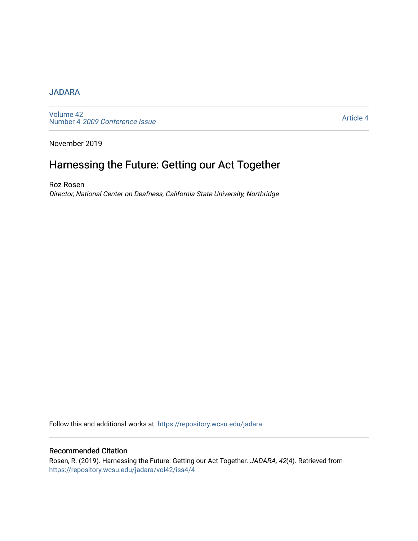#### **[JADARA](https://repository.wcsu.edu/jadara)**

[Volume 42](https://repository.wcsu.edu/jadara/vol42)  Number 4 [2009 Conference Issue](https://repository.wcsu.edu/jadara/vol42/iss4) 

[Article 4](https://repository.wcsu.edu/jadara/vol42/iss4/4) 

November 2019

# Harnessing the Future: Getting our Act Together

Roz Rosen Director, National Center on Deafness, California State University, Northridge

Follow this and additional works at: [https://repository.wcsu.edu/jadara](https://repository.wcsu.edu/jadara?utm_source=repository.wcsu.edu%2Fjadara%2Fvol42%2Fiss4%2F4&utm_medium=PDF&utm_campaign=PDFCoverPages)

#### Recommended Citation

Rosen, R. (2019). Harnessing the Future: Getting our Act Together. JADARA, 42(4). Retrieved from [https://repository.wcsu.edu/jadara/vol42/iss4/4](https://repository.wcsu.edu/jadara/vol42/iss4/4?utm_source=repository.wcsu.edu%2Fjadara%2Fvol42%2Fiss4%2F4&utm_medium=PDF&utm_campaign=PDFCoverPages)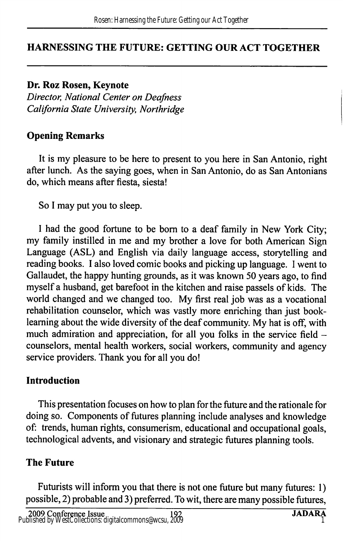### HARNESSING THE FUTURE: GETTING OUR ACT TOGETHER

Dr. Roz Rosen, Keynote Director, National Center on Deafness California State University, Northridge

### Opening Remarks

It is my pleasure to be here to present to you here in San Antonio, right after lunch. As the saying goes, when in San Antonio, do as San Antonians do, which means after fiesta, siesta!

So I may put you to sleep.

I had the good fortune to be bom to a deaf family in New York City; my family instilled in me and my brother a love for both American Sign Language (ASL) and English via daily language access, storytelling and reading books. I also loved comic books and picking up language. 1 went to Gallaudet, the happy hunting grounds, as it was known 50 years ago, to find myself a husband, get barefoot in the kitchen and raise passels of kids. The world changed and we changed too. My first real job was as a vocational rehabilitation counselor, which was vastly more enriching than just booklearning about the wide diversity of the deaf community. My hat is off, with much admiration and appreciation, for all you folks in the service field counselors, mental health workers, social workers, community and agency service providers. Thank you for all you do!

#### Introduction

This presentation focuses on how to plan for the future and the rationale for doing so. Components of futures planning include analyses and knowledge of: trends, human rights, consumerism, educational and occupational goals, technological advents, and visionary and strategic futures planning tools.

### The Future

Futurists will inform you that there is not one future but many futures: 1) possible, 2) probable and 3) preferred. To wit, there are many possible futures,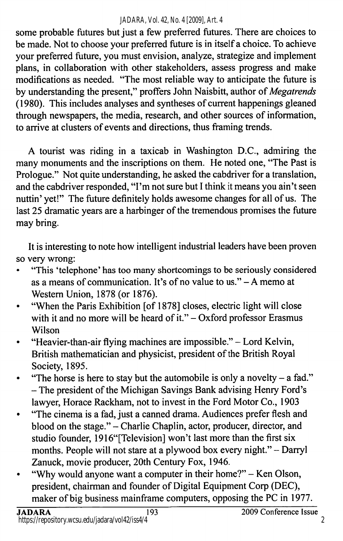#### *JADARA, Vol. 42, No. 4 [2009], Art. 4*

some probable futures but just a few preferred futures. There are choices to be made. Not to choose your preferred future is in itself a choice. To achieve your preferred future, you must envision, analyze, strategize and implement plans, in collaboration with other stakeholders, assess progress and make modifications as needed. "The most reliable way to anticipate the future is by understanding the present," proffers John Naisbitt, author of Megatrends (1980). This includes analyses and syntheses of current happenings gleaned through newspapers, the media, research, and other sources of information, to arrive at clusters of events and directions, thus framing trends.

A tourist was riding in a taxicab in Washington D.C., admiring the many monuments and the inscriptions on them. He noted one, "The Past is Prologue." Not quite understanding, he asked the cabdriver for a translation, and the cabdriver responded, "I'm not sure but I think it means you ain't seen nuttin' yet!" The future definitely holds awesome changes for all of us. The last 25 dramatic years are a harbinger of the tremendous promises the future may bring.

It is interesting to note how intelligent industrial leaders have been proven so very wrong:

- • "This 'telephone' has too many shortcomings to be seriously considered as a means of communication. It's of no value to us." - A memo at Western Union, 1878 (or 1876).
- • "When the Paris Exhibition [of 1878] closes, electric light will close with it and no more will be heard of it." $-$ Oxford professor Erasmus Wilson
- • "Heavier-than-air flying machines are impossible." - Lord Kelvin, British mathematician and physicist, president of the British Royal Society, 1895.
- •"The horse is here to stay but the automobile is only a novelty  $-$  a fad." - The president of the Michigan Savings Bank advising Henry Ford's lawyer, Horace Rackham, not to invest in the Ford Motor Co., 1903
- • "The cinema is a fad, just a canned drama. Audiences prefer flesh and blood on the stage." - Charlie Chaplin, actor, producer, director, and studio founder, 1916"[Television] won't last more than the first six months. People will not stare at a plywood box every night." - Darryl Zanuck, movie producer, 20th Century Fox, 1946.
- • "Why would anyone want a computer in their home?" - Ken Olson, president, chairman and founder of Digital Equipment Corp (DEC), maker of big business mainframe computers, opposing the PC in 1977.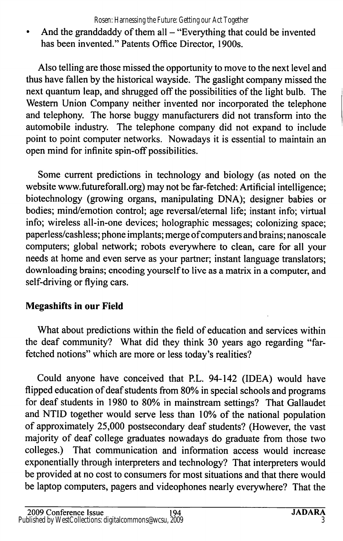•And the granddaddy of them all  $-$  "Everything that could be invented has been invented." Patents Office Director, 1900s.

Also telling are those missed the opportunity to move to the next level and thus have fallen by the historical wayside. The gaslight company missed the next quantum leap, and shrugged off the possibilities of the light bulb. The Western Union Company neither invented nor incorporated the telephone and telephony. The horse buggy manufacturers did not transform into the automobile industry. The telephone company did not expand to include point to point computer networks. Nowadays it is essential to maintain an open mind for infinite spin-off possibilities.

Some current predictions in technology and biology (as noted on the website www.futureforall.org) may not be far-fetched: Artificial intelligence; biotechnology (growing organs, manipulating DNA); designer babies or bodies; mind/emotion control; age reversal/eternal life; instant info; virtual info; wireless all-in-one devices; holographic messages; colonizing space; paperless/cashless; phone implants; merge of computers and brains; nanoscale computers; global network; robots everywhere to clean, care for all your needs at home and even serve as your partner; instant language translators; downloading brains; encoding yourself to live as a matrix in a computer, and self-driving or flying cars.

## Megashifts in our Field

What about predictions within the field of education and services within the deaf community? What did they think 30 years ago regarding "far fetched notions" which are more or less today's realities?

Could anyone have conceived that P.L. 94-142 (IDEA) would have flipped education of deaf students from 80% in special schools and programs for deaf students in 1980 to 80% in mainstream settings? That Gallaudet and NTID together would serve less than 10% of the national population of approximately 25,000 postsecondary deaf students? (However, the vast majority of deaf college graduates nowadays do graduate from those two colleges.) That communication and information access would increase exponentially through interpreters and technology? That interpreters would be provided at no cost to consumers for most situations and that there would be laptop computers, pagers and videophones nearly everywhere? That the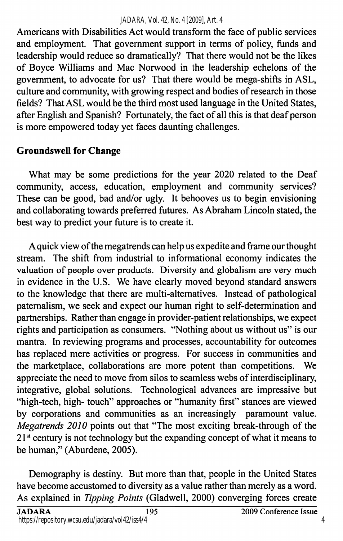Americans with Disabilities Act would transform the face of public services and employment. That government support in terms of policy, funds and leadership would reduce so dramatically? That there would not be the likes of Boyce Williams and Mac Norwood in the leadership echelons of the government, to advocate for us? That there would be mega-shifts in ASL, culture and community, with growing respect and bodies of research in those fields? That ASL would be the third most used language in the United States, after English and Spanish? Fortunately, the fact of all this is that deaf person is more empowered today yet faces daunting challenges,

# Groundswell for Change

What may be some predictions for the year 2020 related to the Deaf community, access, education, employment and community services? These can be good, bad and/or ugly. It behooves us to begin envisioning and collaborating towards preferred futures. As Abraham Lincoln stated, the best way to predict your future is to create it.

A quick view of the megatrends can help us expedite and frame our thought stream. The shift from industrial to informational economy indicates the valuation of people over products. Diversity and globalism are very much in evidence in the U.S. We have clearly moved beyond standard answers to the knowledge that there are multi-altematives. Instead of pathological paternalism, we seek and expect our human right to self-determination and partnerships. Rather than engage in provider-patient relationships, we expect rights and participation as consumers. "Nothing about us without us" is our mantra. In reviewing programs and processes, accountability for outcomes has replaced mere activities or progress. For success in communities and the marketplace, collaborations are more potent than competitions. We appreciate the need to move from silos to seamless webs of interdisciplinary, integrative, global solutions. Technological advances are impressive but "high-tech, high- touch" approaches or "humanity first" stances are viewed by corporations and communities as an increasingly paramount value. Megatrends 2010 points out that "The most exciting break-through of the  $21<sup>st</sup>$  century is not technology but the expanding concept of what it means to be human," (Aburdene, 2005).

Demography is destiny. But more than that, people in the United States have become accustomed to diversity as a value rather than merely as a word. As explained in Tipping Points (Gladwell, 2000) converging forces create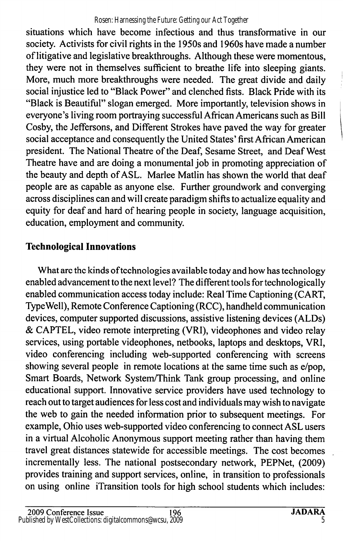situations which have become infectious and thus transformative in our society. Activists for civil rights in the 1950s and 1960s have made a number of litigative and legislative breakthroughs. Although these were momentous, they were not in themselves sufficient to breathe life into sleeping giants. More, much more breakthroughs were needed. The great divide and daily social injustice led to "Black Power" and clenched fists. Black Pride with its "Black is Beautiful" slogan emerged. More importantly, television shows in everyone's living room portraying successful African Americans such as Bill Cosby, the Jeffersons, and Different Strokes have paved the way for greater social acceptance and consequently the United States' first African American president. The National Theatre of the Deaf, Sesame Street, and Deaf West Theatre have and are doing a monumental job in promoting appreciation of the beauty and depth of ASL. Marlee Matlin has shown the world that deaf people are as capable as anyone else. Further groundwork and converging across disciplines can and will create paradigm shifts to actualize equality and equity for deaf and hard of hearing people in society, language acquisition, education, employment and community.

# Technological Innovations

What are the kinds of technologies available today and how has technology enabled advancement to the next level? The different tools for technologically enabled communication access today include: Real Time Captioning (CART, Type Well), Remote Conference Captioning (RCC), handheld communication devices, computer supported discussions, assistive listening devices (ALDs) & CAPTEL, video remote interpreting (VRI), videophones and video relay services, using portable videophones, netbooks, laptops and desktops, VRI, video conferencing including web-supported conferencing with screens showing several people in remote locations at the same time such as e/pop. Smart Boards, Network System/Think Tank group processing, and online educational support. Innovative service providers have used technology to reach out to target audiences for less cost and individuals may wish to navigate the web to gain the needed information prior to subsequent meetings. For example, Ohio uses web-supported video conferencing to connect ASL users in a virtual Alcoholic Anonymous support meeting rather than having them travel great distances statewide for accessible meetings. The cost becomes incrementally less. The national postsecondary network, PEPNet, (2009) provides training and support services, online, in transition to professionals on using online iTransition tools for high school students which includes: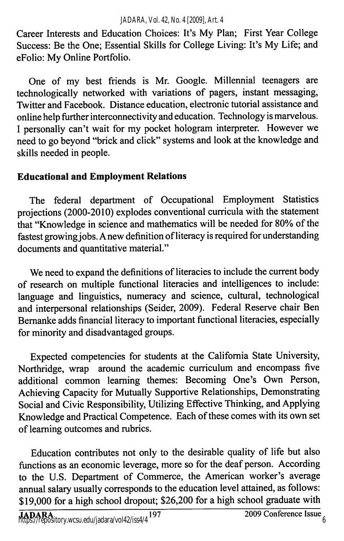Career Interests and Education Choices: It's My Plan; First Year College Success: Be the One; Essential Skills for College Living: It's My Life; and eFolio: My Online Portfolio.

One of my best friends is Mr. Google. Millennial teenagers are technologically networked with variations of pagers, instant messaging. Twitter and Facebook. Distance education, electronic tutorial assistance and online help further interconnectivity and education. Technology is marvelous. I personally can't wait for my pocket hologram interpreter. However we need to go beyond "brick and click" systems and look at the knowledge and skills needed in people.

## Educational and Employment Relations

The federal department of Occupational Employment Statistics projections (2000-2010) explodes conventional curricula with the statement that "Knowledge in science and mathematics will be needed for 80% of the fastest growing jobs. Anew definition of literacy is required for understanding documents and quantitative material."

We need to expand the definitions of literacies to include the current body of research on multiple functional literacies and intelligences to include: language and linguistics, numeracy and science, cultural, technological and interpersonal relationships (Seider, 2009). Federal Reserve chair Ben Bemanke adds financial literacy to important functional literacies, especially for minority and disadvantaged groups.

Expected competencies for students at the Califomia State University, Northridge, wrap around the academic curriculum and encompass five additional common learning themes: Becoming One's Own Person, Achieving Capacity for Mutually Supportive Relationships, Demonstrating Social and Civic Responsibility, Utilizing Effective Thinking, and Applying Knowledge and Practical Competence. Each of these comes with its own set of learning outcomes and rubrics.

Education contributes not only to the desirable quality of life but also functions as an economic leverage, more so for the deaf person. According to the U.S. Department of Commerce, the American worker's average annual salary usually corresponds to the education level attained, as follows: \$19,000 for a high school dropout; \$26,200 for a high school graduate with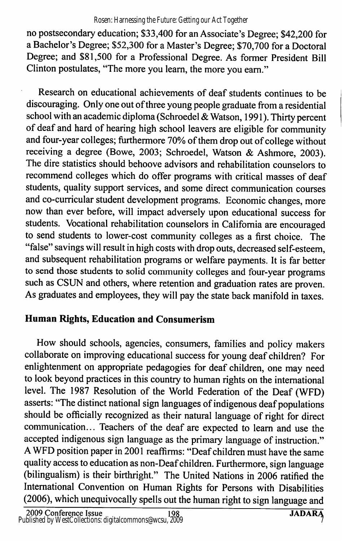no postsecondary education; \$33,400 for an Associate's Degree; \$42,200 for a Bachelor's Degree; \$52,300 for a Master's Degree; \$70,700 for a Doctoral Degree; and \$81,500 for a Professional Degree. As former President Bill Clinton postulates, "The more you learn, the more you eam."

Research on educational achievements of deaf students continues to be discouraging. Only one out of three young people graduate from a residential school with an academic diploma (Schroedel & Watson, 1991). Thirty percent of deaf and hard of hearing high school leavers are eligible for community and four-year colleges; furthermore 70% of them drop out of college without receiving a degree (Bowe, 2003; Schroedel, Watson & Ashmore, 2003). The dire statistics should behoove advisors and rehabilitation counselors to recommend colleges which do offer programs with critical masses of deaf students, quality support services, and some direct communication courses and co-curricular student development programs. Economic changes, more now than ever before, will impact adversely upon educational success for students. Vocational rehabilitation counselors in Califomia are encouraged to send students to lower-cost community colleges as a first choice. The "false" savings will result in high costs with drop outs, decreased self-esteem, and subsequent rehabilitation programs or welfare payments. It is far better to send those students to solid community colleges and four-year programs such as CSUN and others, where retention and graduation rates are proven. As graduates and employees, they will pay the state back manifold in taxes.

# Human Rights, Education and Consumerism

How should schools, agencies, consumers, families and policy makers collaborate on improving educational success for young deaf children? For enlightenment on appropriate pedagogies for deaf children, one may need to look beyond practices in this country to human rights on the international level. The 1987 Resolution of the World Federation of the Deaf (WFD) asserts: "The distinct national sign languages of indigenous deaf populations should be officially recognized as their natural language of right for direct communication... Teachers of the deaf are expected to learn and use the accepted indigenous sign language as the primary language of instruction." A WFD position paper in 2001 reaffirms: "Deaf children must have the same quality access to education as non-Deaf children. Furthermore, sign language (bilingualism) is their birthright." The United Nations in 2006 ratified the International Convention on Human Rights for Persons with Disabilities (2006), which unequivocally spells out the human right to sign language and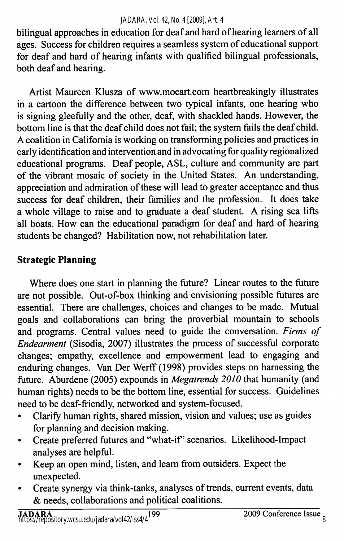#### *JADARA, Vol. 42, No. 4 [2009], Art. 4*

bilingual approaches in education for deaf and hard of hearing learners of all ages. Success for children requires a seamless system of educational support for deaf and hard of hearing infants with qualified bilingual professionals, both deaf and hearing.

Artist Maureen Klusza of www.moeart.com heartbreakingly illustrates in a cartoon the difference between two typical infants, one hearing who is signing gleefully and the other, deaf, with shackled hands. However, the bottom line is that the deaf child does not fail; the system fails the deaf child. A coalition in Califomia is working on transforming policies and practices in early identification and intervention and in advocating for quality regionalized educational programs. Deaf people, ASL, culture and community are part of the vibrant mosaic of society in the United States. An understanding, appreciation and admiration of these will lead to greater acceptance and thus success for deaf children, their families and the profession. It does take a whole village to raise and to graduate a deaf student. A rising sea lifts all boats. How can the educational paradigm for deaf and hard of hearing students be changed? Habilitation now, not rehabilitation later.

# Strategic Planning

Where does one start in planning the future? Linear routes to the future are not possible. Out-of-box thinking and envisioning possible futures are essential. There are challenges, choices and changes to be made. Mutual goals and collaborations can bring the proverbial mountain to schools and programs. Central values need to guide the conversation. Firms of Endearment (Sisodia, 2007) illustrates the process of successful corporate changes; empathy, excellence and empowerment lead to engaging and enduring changes. Van Der Werff (1998) provides steps on hamessing the future. Aburdene (2005) expounds in Megatrends 2010 that humanity (and human rights) needs to be the bottom line, essential for success. Guidelines need to be deaf-friendly, networked and system-focused.

- • Clarify human rights, shared mission, vision and values; use as guides for planning and decision making.
- •Create preferred futures and "what-if" scenarios. Likelihood-Impact analyses are helpful.
- • Keep an open mind, listen, and learn from outsiders. Expect the unexpected.
- • Create synergy via think-tanks, analyses of trends, current events, data & needs, collaborations and political coalitions.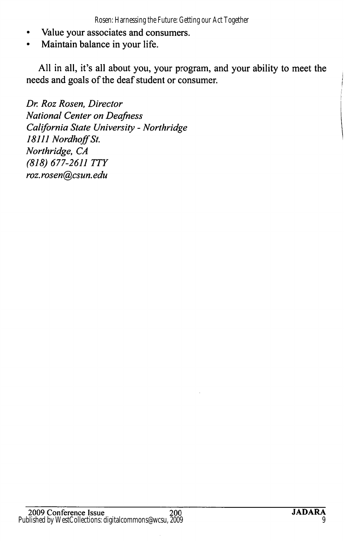- •Value your associates and consumers.
- •Maintain balance in your life.

All in all, it's all about you, your program, and your ability to meet the needs and goals of the deaf student or consumer.

Dr. Roz Rosen, Director National Center on Deafness California State University - Northridge 18111 Nordhoff St. Northridge, CA (818) 677-2611 TTY roz. rosen@csun. edu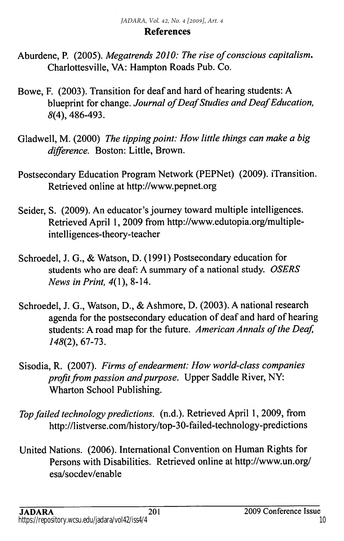#### References

- Aburdene, P. (2005). Megatrends 2010: The rise of conscious capitalism, Charlottesville, VA: Hampton Roads Pub. Co.
- Bowe, F. (2003). Transition for deaf and hard of hearing students: A blueprint for change. Journal of Deaf Studies and Deaf Education, 8(4), 486-493.
- Gladwell, M. (2000) The tipping point: How little things can make a big difference. Boston: Little, Brown.
- Postsecondary Education Program Network (PEPNet) (2009). iTransition. Retrieved online at http://www.pepnet.org
- Seider, S. (2009). An educator's journey toward multiple intelligences. Retrieved April 1, 2009 from http://www.edutopia.org/multipleintelligences-theory-teacher
- Schroedel, J. G., & Watson, D. (1991) Postsecondary education for students who are deaf: A summary of a national study. OSERS News in Print, 4(1), 8-14.
- Schroedel, J. G., Watson, D., & Ashmore, D. (2003). A national research agenda for the postsecondary education of deaf and hard of hearing students: A road map for the future. American Annals of the Deaf, 148(2), 67-73.
- Sisodia, R. (2007). Firms of endearment: How world-class companies profit from passion and purpose. Upper Saddle River, NY: Wharton School Publishing.
- Top failed technology predictions, (n.d.). Retrieved April 1, 2009, from http://listverse.com/history/top-30-failed-technology-predictions
- United Nations. (2006). International Convention on Human Rights for Persons with Disabilities. Retrieved online at http://www.un.org/ esa/socdev/enable